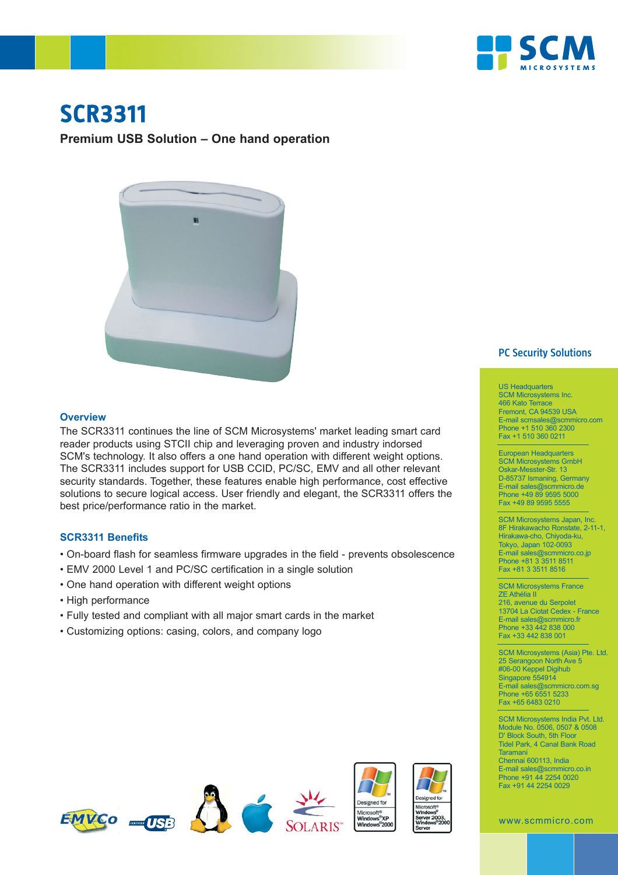

# **SCR3311**

## **Premium USB Solution – One hand operation**



#### **Overview**

The SCR3311 continues the line of SCM Microsystems' market leading smart card reader products using STCII chip and leveraging proven and industry indorsed SCM's technology. It also offers a one hand operation with different weight options. The SCR3311 includes support for USB CCID, PC/SC, EMV and all other relevant security standards. Together, these features enable high performance, cost effective solutions to secure logical access. User friendly and elegant, the SCR3311 offers the best price/performance ratio in the market.

#### **SCR3311 Benefits**

- On-board flash for seamless firmware upgrades in the field prevents obsolescence
- EMV 2000 Level 1 and PC/SC certification in a single solution
- One hand operation with different weight options
- High performance
- Fully tested and compliant with all major smart cards in the market
- Customizing options: casing, colors, and company logo



### **PC Security Solutions**

US Headquarters SCM Microsystems Inc. 466 Kato Terrace Fremont, CA 94539 USA E-mail scmsales@scmmicro.com Phone +1 510 360 2300 Fax +1 510 360 0211

European Headquarters SCM Microsystems GmbH Oskar-Messter-Str. 13 D-85737 Ismaning, Germany E-mail sales@scmmicro.de Phone +49 89 9595 5000 Fax +49 89 9595 5555

SCM Microsystems Japan, Inc. 8F Hirakawacho Ronstate, 2-11-1, Hirakawa-cho, Chiyoda-ku, Tokyo, Japan 102-0093 E-mail sales@scmmicro.co.jp Phone +81 3 3511 8511 Fax +81 3 3511 8516

SCM Microsystems France ZE Athélia II 216, avenue du Serpolet 13704 La Ciotat Cedex - France E-mail sales@scmmicro.fr Phone +33 442 838 000 Fax +33 442 838 001

SCM Microsystems (Asia) Pte. Ltd. 25 Serangoon North Ave 5 #06-00 Keppel Digihub Singapore 554914 E-mail sales@scmmicro.com.sg Phone +65 6551 5233 Fax +65 6483 0210

SCM Microsystems India Pvt. Ltd. Module No. 0506, 0507 & 0508 D' Block South, 5th Floor Tidel Park, 4 Canal Bank Road Taramani Chennai 600113, India E-mail sales@scmmicro.co.in Phone +91 44 2254 0020 Fax +91 44 2254 0029

www.scmmicro.com